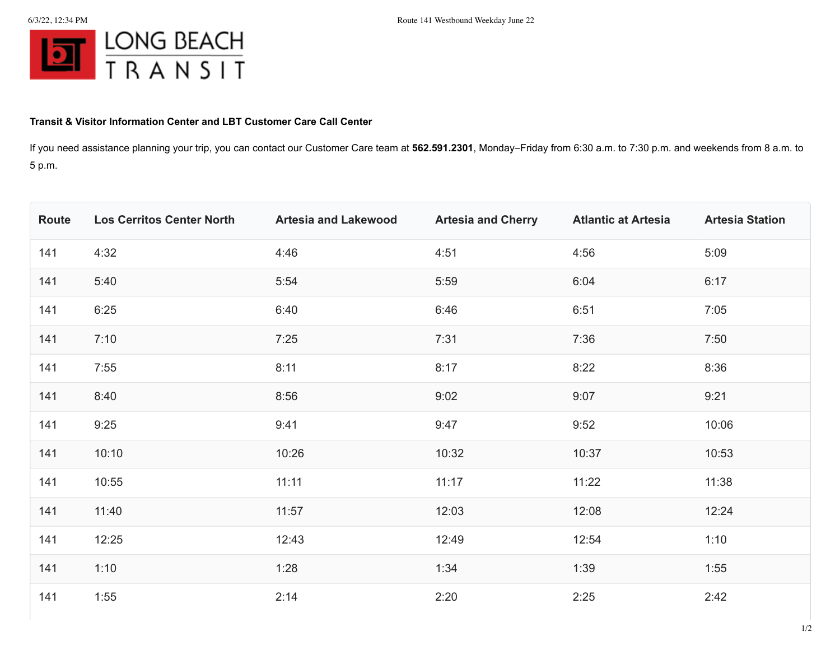

## **Transit & Visitor Information Center and LBT Customer Care Call Center**

If you need assistance planning your trip, you can contact our Customer Care team at **562.591.2301**, Monday–Friday from 6:30 a.m. to 7:30 p.m. and weekends from 8 a.m. to 5 p.m.

| Route | <b>Los Cerritos Center North</b> | <b>Artesia and Lakewood</b> | <b>Artesia and Cherry</b> | <b>Atlantic at Artesia</b> | <b>Artesia Station</b> |
|-------|----------------------------------|-----------------------------|---------------------------|----------------------------|------------------------|
| 141   | 4:32                             | 4:46                        | 4:51                      | 4:56                       | 5:09                   |
| 141   | 5:40                             | 5:54                        | 5:59                      | 6:04                       | 6:17                   |
| 141   | 6:25                             | 6:40                        | 6:46                      | 6:51                       | 7:05                   |
| 141   | 7:10                             | 7:25                        | 7:31                      | 7:36                       | 7:50                   |
| 141   | 7:55                             | 8:11                        | 8:17                      | 8:22                       | 8:36                   |
| 141   | 8:40                             | 8:56                        | 9:02                      | 9:07                       | 9:21                   |
| 141   | 9:25                             | 9:41                        | 9:47                      | 9:52                       | 10:06                  |
| 141   | 10:10                            | 10:26                       | 10:32                     | 10:37                      | 10:53                  |
| 141   | 10:55                            | 11:11                       | 11:17                     | 11:22                      | 11:38                  |
| 141   | 11:40                            | 11:57                       | 12:03                     | 12:08                      | 12:24                  |
| 141   | 12:25                            | 12:43                       | 12:49                     | 12:54                      | 1:10                   |
| 141   | 1:10                             | 1:28                        | 1:34                      | 1:39                       | 1:55                   |
| 141   | 1:55                             | 2:14                        | 2:20                      | 2:25                       | 2:42                   |